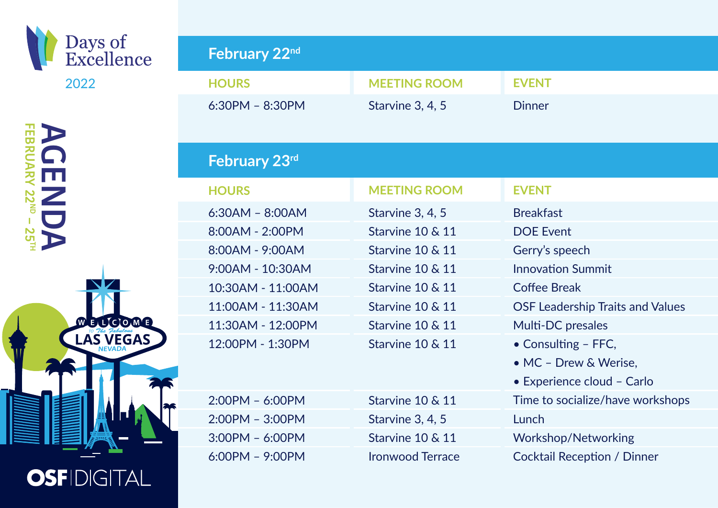

**AC** 

| <b>FEBRUARY 22MP - 25TH</b><br>À                                 |  |
|------------------------------------------------------------------|--|
|                                                                  |  |
|                                                                  |  |
|                                                                  |  |
| $\widehat{\mathsf{W}}$<br>E<br>E<br>$\overline{\mathbf{o}}$<br>M |  |
| To The Fabulous<br>$\overline{\mathsf{l}}$<br><b>NEVADA</b>      |  |
|                                                                  |  |
|                                                                  |  |
|                                                                  |  |
|                                                                  |  |
| DIG<br><b>OSFI</b><br>Ø<br>-A                                    |  |

| February 22nd     |                         |                                         |
|-------------------|-------------------------|-----------------------------------------|
| <b>HOURS</b>      | <b>MEETING ROOM</b>     | <b>EVENT</b>                            |
| $6:30PM - 8:30PM$ | Starvine 3, 4, 5        | <b>Dinner</b>                           |
| February 23rd     |                         |                                         |
| <b>HOURS</b>      | <b>MEETING ROOM</b>     | <b>EVENT</b>                            |
| $6:30AM - 8:00AM$ | Starvine 3, 4, 5        | <b>Breakfast</b>                        |
| 8:00AM - 2:00PM   | Starvine 10 & 11        | <b>DOE Event</b>                        |
| 8:00AM - 9:00AM   | Starvine 10 & 11        | Gerry's speech                          |
| 9:00AM - 10:30AM  | Starvine 10 & 11        | <b>Innovation Summit</b>                |
| 10:30AM - 11:00AM | Starvine 10 & 11        | <b>Coffee Break</b>                     |
| 11:00AM - 11:30AM | Starvine 10 & 11        | <b>OSF Leadership Traits and Values</b> |
| 11:30AM - 12:00PM | Starvine 10 & 11        | Multi-DC presales                       |
| 12:00PM - 1:30PM  | Starvine 10 & 11        | • Consulting - FFC,                     |
|                   |                         | • MC - Drew & Werise,                   |
|                   |                         | • Experience cloud - Carlo              |
| $2:00PM - 6:00PM$ | Starvine 10 & 11        | Time to socialize/have workshops        |
| $2:00PM - 3:00PM$ | Starvine 3, 4, 5        | Lunch                                   |
| $3:00PM - 6:00PM$ | Starvine 10 & 11        | <b>Workshop/Networking</b>              |
| $6:00PM - 9:00PM$ | <b>Ironwood Terrace</b> | <b>Cocktail Reception / Dinner</b>      |